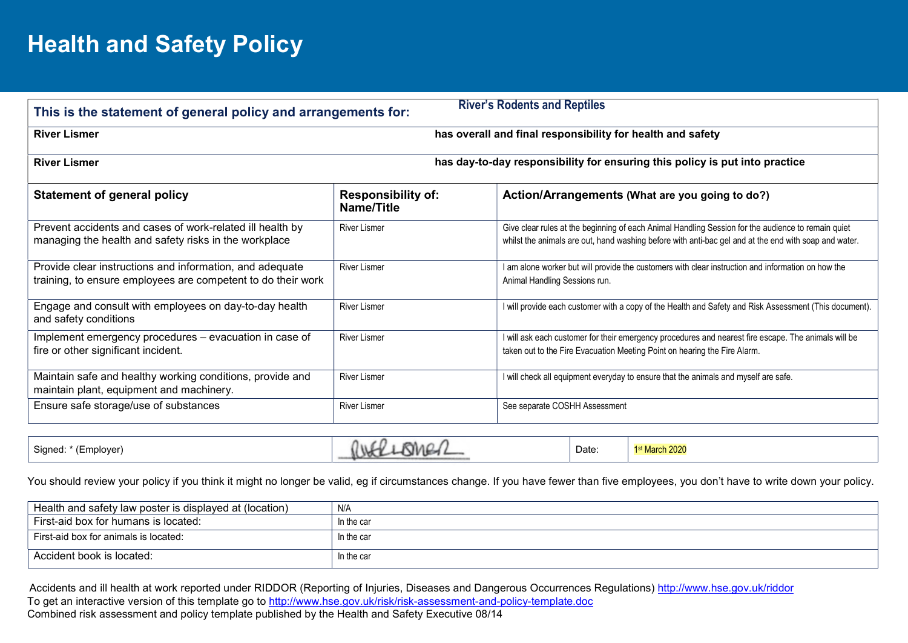## Health and Safety Policy

| This is the statement of general policy and arrangements for:                                                            |                                         | <b>River's Rodents and Reptiles</b>                                                                                                                                                                         |
|--------------------------------------------------------------------------------------------------------------------------|-----------------------------------------|-------------------------------------------------------------------------------------------------------------------------------------------------------------------------------------------------------------|
| <b>River Lismer</b>                                                                                                      |                                         | has overall and final responsibility for health and safety                                                                                                                                                  |
| <b>River Lismer</b>                                                                                                      |                                         | has day-to-day responsibility for ensuring this policy is put into practice                                                                                                                                 |
| <b>Statement of general policy</b>                                                                                       | <b>Responsibility of:</b><br>Name/Title | Action/Arrangements (What are you going to do?)                                                                                                                                                             |
| Prevent accidents and cases of work-related ill health by<br>managing the health and safety risks in the workplace       | <b>River Lismer</b>                     | Give clear rules at the beginning of each Animal Handling Session for the audience to remain quiet<br>whilst the animals are out, hand washing before with anti-bac gel and at the end with soap and water. |
| Provide clear instructions and information, and adequate<br>training, to ensure employees are competent to do their work | <b>River Lismer</b>                     | I am alone worker but will provide the customers with clear instruction and information on how the<br>Animal Handling Sessions run.                                                                         |
| Engage and consult with employees on day-to-day health<br>and safety conditions                                          | <b>River Lismer</b>                     | I will provide each customer with a copy of the Health and Safety and Risk Assessment (This document).                                                                                                      |
| Implement emergency procedures - evacuation in case of<br>fire or other significant incident.                            | <b>River Lismer</b>                     | I will ask each customer for their emergency procedures and nearest fire escape. The animals will be<br>taken out to the Fire Evacuation Meeting Point on hearing the Fire Alarm.                           |
| Maintain safe and healthy working conditions, provide and<br>maintain plant, equipment and machinery.                    | <b>River Lismer</b>                     | I will check all equipment everyday to ensure that the animals and myself are safe.                                                                                                                         |
| Ensure safe storage/use of substances                                                                                    | <b>River Lismer</b>                     | See separate COSHH Assessment                                                                                                                                                                               |

| Signed: * (Employer) | Ω<br><b>RMG</b><br>$\n  n$ | Date: | t March 2020 |
|----------------------|----------------------------|-------|--------------|
|----------------------|----------------------------|-------|--------------|

You should review your policy if you think it might no longer be valid, eg if circumstances change. If you have fewer than five employees, you don't have to write down your policy.

| Health and safety law poster is displayed at (location) | N/A        |
|---------------------------------------------------------|------------|
| First-aid box for humans is located:                    | In the car |
| First-aid box for animals is located:                   | In the car |
| Accident book is located:                               | In the car |

 Accidents and ill health at work reported under RIDDOR (Reporting of Injuries, Diseases and Dangerous Occurrences Regulations) http://www.hse.gov.uk/riddor To get an interactive version of this template go to http://www.hse.gov.uk/risk/risk-assessment-and-policy-template.doc Combined risk assessment and policy template published by the Health and Safety Executive 08/14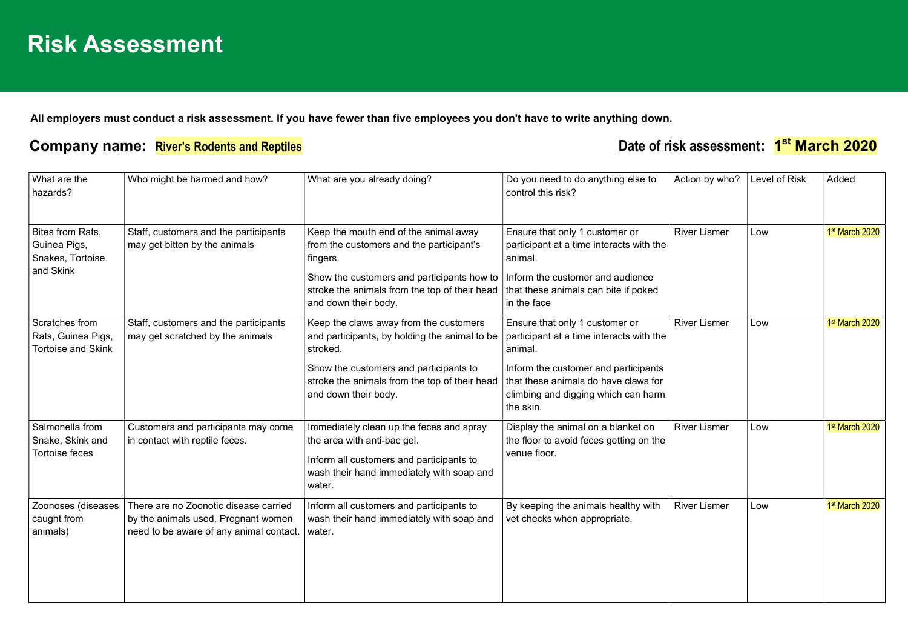All employers must conduct a risk assessment. If you have fewer than five employees you don't have to write anything down.

## Company name: River's Rodents and Reptiles **Date of risk assessment:** 1<sup>st</sup> March 2020

| What are the<br>hazards?                                          | Who might be harmed and how?                                                                                            | What are you already doing?                                                                                                                                                                                            | Do you need to do anything else to<br>control this risk?                                                                                                                                                                  | Action by who?      | Level of Risk | Added          |
|-------------------------------------------------------------------|-------------------------------------------------------------------------------------------------------------------------|------------------------------------------------------------------------------------------------------------------------------------------------------------------------------------------------------------------------|---------------------------------------------------------------------------------------------------------------------------------------------------------------------------------------------------------------------------|---------------------|---------------|----------------|
| Bites from Rats,<br>Guinea Pigs,<br>Snakes, Tortoise<br>and Skink | Staff, customers and the participants<br>may get bitten by the animals                                                  | Keep the mouth end of the animal away<br>from the customers and the participant's<br>fingers.<br>Show the customers and participants how to<br>stroke the animals from the top of their head<br>and down their body.   | Ensure that only 1 customer or<br>participant at a time interacts with the<br>animal.<br>Inform the customer and audience<br>that these animals can bite if poked<br>in the face                                          | <b>River Lismer</b> | Low           | 1st March 2020 |
| Scratches from<br>Rats, Guinea Pigs,<br><b>Tortoise and Skink</b> | Staff, customers and the participants<br>may get scratched by the animals                                               | Keep the claws away from the customers<br>and participants, by holding the animal to be<br>stroked.<br>Show the customers and participants to<br>stroke the animals from the top of their head<br>and down their body. | Ensure that only 1 customer or<br>participant at a time interacts with the<br>animal.<br>Inform the customer and participants<br>that these animals do have claws for<br>climbing and digging which can harm<br>the skin. | <b>River Lismer</b> | Low           | 1st March 2020 |
| Salmonella from<br>Snake, Skink and<br>Tortoise feces             | Customers and participants may come<br>in contact with reptile feces.                                                   | Immediately clean up the feces and spray<br>the area with anti-bac gel.<br>Inform all customers and participants to<br>wash their hand immediately with soap and<br>water.                                             | Display the animal on a blanket on<br>the floor to avoid feces getting on the<br>venue floor.                                                                                                                             | <b>River Lismer</b> | Low           | 1st March 2020 |
| Zoonoses (diseases<br>caught from<br>animals)                     | There are no Zoonotic disease carried<br>by the animals used. Pregnant women<br>need to be aware of any animal contact. | Inform all customers and participants to<br>wash their hand immediately with soap and<br>water.                                                                                                                        | By keeping the animals healthy with<br>vet checks when appropriate.                                                                                                                                                       | <b>River Lismer</b> | Low           | 1st March 2020 |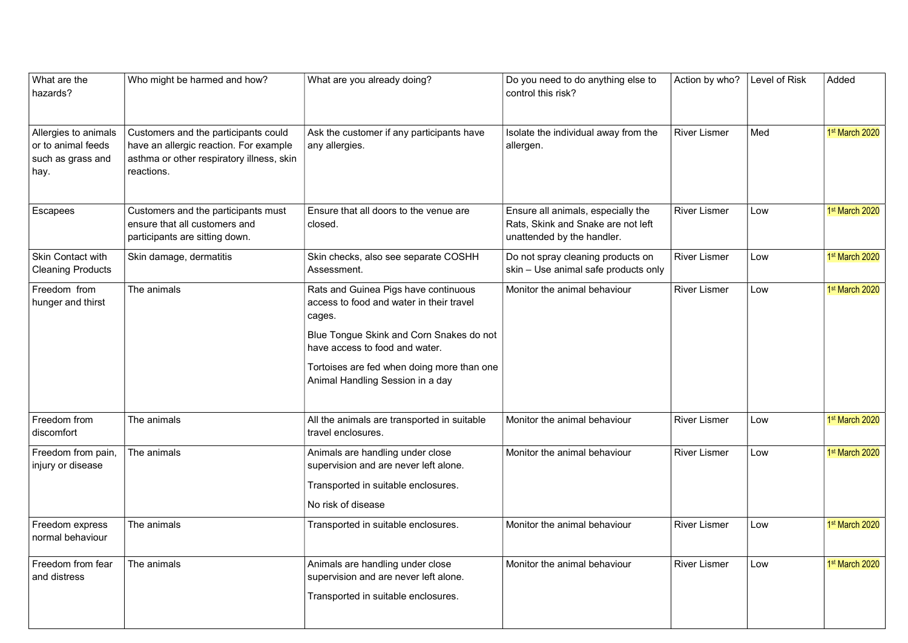| What are the<br>hazards?                                                | Who might be harmed and how?                                                                                                              | What are you already doing?                                                                                                                                                                                                                                | Do you need to do anything else to<br>control this risk?                                               | Action by who?      | Level of Risk | Added          |
|-------------------------------------------------------------------------|-------------------------------------------------------------------------------------------------------------------------------------------|------------------------------------------------------------------------------------------------------------------------------------------------------------------------------------------------------------------------------------------------------------|--------------------------------------------------------------------------------------------------------|---------------------|---------------|----------------|
| Allergies to animals<br>or to animal feeds<br>such as grass and<br>hay. | Customers and the participants could<br>have an allergic reaction. For example<br>asthma or other respiratory illness, skin<br>reactions. | Ask the customer if any participants have<br>any allergies.                                                                                                                                                                                                | Isolate the individual away from the<br>allergen.                                                      | <b>River Lismer</b> | Med           | 1st March 2020 |
| Escapees                                                                | Customers and the participants must<br>ensure that all customers and<br>participants are sitting down.                                    | Ensure that all doors to the venue are<br>closed.                                                                                                                                                                                                          | Ensure all animals, especially the<br>Rats, Skink and Snake are not left<br>unattended by the handler. | <b>River Lismer</b> | Low           | 1st March 2020 |
| Skin Contact with<br><b>Cleaning Products</b>                           | Skin damage, dermatitis                                                                                                                   | Skin checks, also see separate COSHH<br>Assessment.                                                                                                                                                                                                        | Do not spray cleaning products on<br>skin - Use animal safe products only                              | <b>River Lismer</b> | Low           | 1st March 2020 |
| Freedom from<br>hunger and thirst                                       | The animals                                                                                                                               | Rats and Guinea Pigs have continuous<br>access to food and water in their travel<br>cages.<br>Blue Tongue Skink and Corn Snakes do not<br>have access to food and water.<br>Tortoises are fed when doing more than one<br>Animal Handling Session in a day | Monitor the animal behaviour                                                                           | <b>River Lismer</b> | Low           | 1st March 2020 |
| Freedom from<br>discomfort                                              | The animals                                                                                                                               | All the animals are transported in suitable<br>travel enclosures.                                                                                                                                                                                          | Monitor the animal behaviour                                                                           | <b>River Lismer</b> | Low           | 1st March 2020 |
| Freedom from pain,<br>injury or disease                                 | The animals                                                                                                                               | Animals are handling under close<br>supervision and are never left alone.<br>Transported in suitable enclosures.<br>No risk of disease                                                                                                                     | Monitor the animal behaviour                                                                           | <b>River Lismer</b> | Low           | 1st March 2020 |
| Freedom express<br>normal behaviour                                     | The animals                                                                                                                               | Transported in suitable enclosures.                                                                                                                                                                                                                        | Monitor the animal behaviour                                                                           | <b>River Lismer</b> | Low           | 1st March 2020 |
| Freedom from fear<br>and distress                                       | The animals                                                                                                                               | Animals are handling under close<br>supervision and are never left alone.<br>Transported in suitable enclosures.                                                                                                                                           | Monitor the animal behaviour                                                                           | <b>River Lismer</b> | Low           | 1st March 2020 |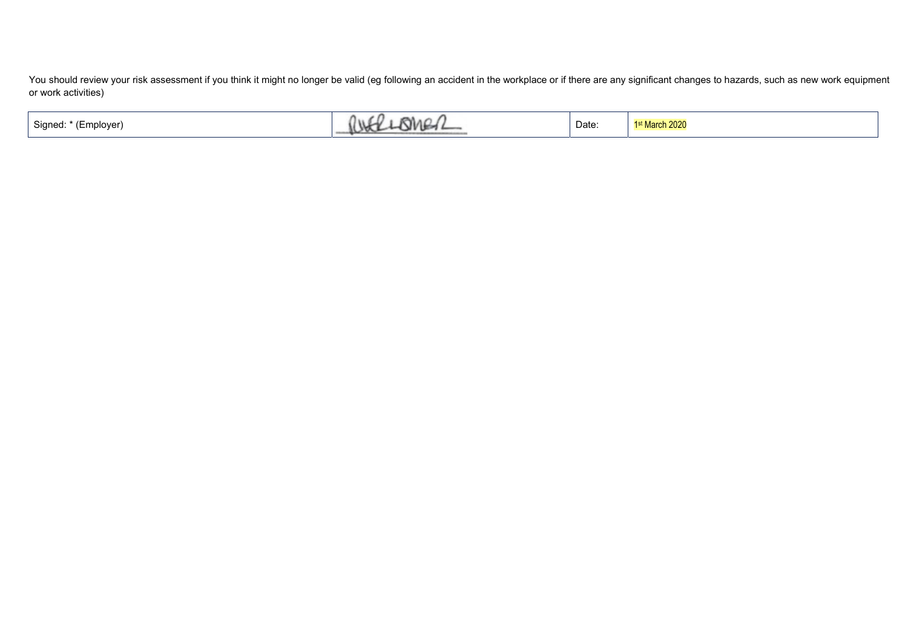You should review your risk assessment if you think it might no longer be valid (eg following an accident in the workplace or if there are any significant changes to hazards, such as new work equipment or work activities)

| Signed:<br>(Employer) | $\overline{\phantom{a}}$<br>111<br>MAC | Date: | 1 <sup>st</sup> March 2020 |
|-----------------------|----------------------------------------|-------|----------------------------|
|-----------------------|----------------------------------------|-------|----------------------------|